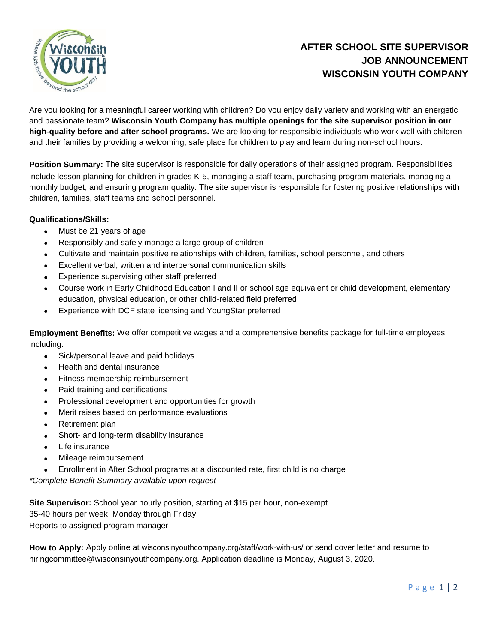

# **AFTER SCHOOL SITE SUPERVISOR JOB ANNOUNCEMENT WISCONSIN YOUTH COMPANY**

Are you looking for a meaningful career working with children? Do you enjoy daily variety and working with an energetic and passionate team? **Wisconsin Youth Company has multiple openings for the site supervisor position in our high-quality before and after school programs.** We are looking for responsible individuals who work well with children and their families by providing a welcoming, safe place for children to play and learn during non-school hours.

**Position Summary:** The site supervisor is responsible for daily operations of their assigned program. Responsibilities include lesson planning for children in grades K-5, managing a staff team, purchasing program materials, managing a monthly budget, and ensuring program quality. The site supervisor is responsible for fostering positive relationships with children, families, staff teams and school personnel.

#### **Qualifications/Skills:**

- Must be 21 years of age
- Responsibly and safely manage a large group of children
- Cultivate and maintain positive relationships with children, families, school personnel, and others
- Excellent verbal, written and interpersonal communication skills
- Experience supervising other staff preferred
- Course work in Early Childhood Education I and II or school age equivalent or child development, elementary education, physical education, or other child-related field preferred
- Experience with DCF state licensing and YoungStar preferred

**Employment Benefits:** We offer competitive wages and a comprehensive benefits package for full-time employees including:

- Sick/personal leave and paid holidays
- Health and dental insurance
- Fitness membership reimbursement
- Paid training and certifications
- Professional development and opportunities for growth
- Merit raises based on performance evaluations
- Retirement plan
- Short- and long-term disability insurance
- Life insurance
- Mileage reimbursement
- Enrollment in After School programs at a discounted rate, first child is no charge

*\*Complete Benefit Summary available upon request*

**Site Supervisor:** School year hourly position, starting at \$15 per hour, non-exempt 35-40 hours per week, Monday through Friday Reports to assigned program manager

**How to Apply:** Apply online at wisconsinyouthcompany.org/staff/work-with-us/ or send cover letter and resume to hiringcommittee@wisconsinyouthcompany.org. Application deadline is Monday, August 3, 2020.